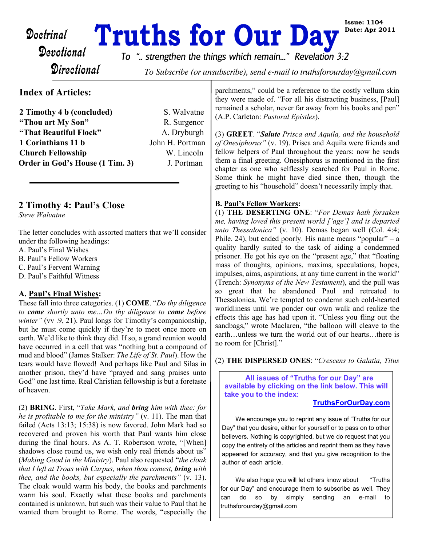# Doctrinal **Truths for Our Day**<br>Devotional To " strengthen the things which remain..." Revelation

**Directional** 

*To ".. strengthen the things which remain..." Revelation 3:2*

To Subscribe (or unsubscribe), send e-mail to truthsforourday@gmail.com

# **Index of Articles:**

| 2 Timothy 4 b (concluded)       | S. Walvatne     |
|---------------------------------|-----------------|
| "Thou art My Son"               | R. Surgenor     |
| "That Beautiful Flock"          | A. Dryburgh     |
| 1 Corinthians 11 b              | John H. Portman |
| <b>Church Fellowship</b>        | W. Lincoln      |
| Order in God's House (1 Tim. 3) | J. Portman      |

# **2 Timothy 4: Paul's Close**

*Steve Walvatne*

The letter concludes with assorted matters that we'll consider under the following headings:

- A. Paul's Final Wishes
- B. Paul's Fellow Workers
- C. Paul's Fervent Warning
- D. Paul's Faithful Witness

#### **A. Paul's Final Wishes:**

These fall into three categories. (1) **COME**. "*Do thy diligence to come shortly unto me…Do thy diligence to come before winter"* (vv .9, 21). Paul longs for Timothy's companionship, but he must come quickly if they're to meet once more on earth. We'd like to think they did. If so, a grand reunion would have occurred in a cell that was "nothing but a compound of mud and blood" (James Stalker: *The Life of St. Paul*). How the tears would have flowed! And perhaps like Paul and Silas in another prison, they'd have "prayed and sang praises unto God" one last time. Real Christian fellowship is but a foretaste of heaven.

(2) **BRING**. First, "*Take Mark, and bring him with thee: for he is profitable to me for the ministry"* (v. 11). The man that failed (Acts 13:13; 15:38) is now favored. John Mark had so recovered and proven his worth that Paul wants him close during the final hours. As A. T. Robertson wrote, "[When] shadows close round us, we wish only real friends about us" (*Making Good in the Ministry*). Paul also requested "*the cloak that I left at Troas with Carpus, when thou comest, bring with thee, and the books, but especially the parchments"* (v. 13). The cloak would warm his body, the books and parchments warm his soul. Exactly what these books and parchments contained is unknown, but such was their value to Paul that he wanted them brought to Rome. The words, "especially the

parchments," could be a reference to the costly vellum skin they were made of. "For all his distracting business, [Paul] remained a scholar, never far away from his books and pen" (A.P. Carleton: *Pastoral Epistles*).

(3) **GREET**. "*Salute Prisca and Aquila, and the household of Onesiphorus"* (v. 19). Prisca and Aquila were friends and fellow helpers of Paul throughout the years: now he sends them a final greeting. Onesiphorus is mentioned in the first chapter as one who selflessly searched for Paul in Rome. Some think he might have died since then, though the greeting to his "household" doesn't necessarily imply that.

#### **B. Paul's Fellow Workers:**

(1) **THE DESERTING ONE**: "*For Demas hath forsaken me, having loved this present world ['age'] and is departed unto Thessalonica"* (v. 10). Demas began well (Col. 4:4; Phile. 24), but ended poorly. His name means "popular" – a quality hardly suited to the task of aiding a condemned prisoner. He got his eye on the "present age," that "floating mass of thoughts, opinions, maxims, speculations, hopes, impulses, aims, aspirations, at any time current in the world" (Trench: *Synonyms of the New Testament*), and the pull was so great that he abandoned Paul and retreated to Thessalonica. We're tempted to condemn such cold-hearted worldliness until we ponder our own walk and realize the effects this age has had upon it. "Unless you fling out the sandbags," wrote Maclaren, "the balloon will cleave to the earth…unless we turn the world out of our hearts…there is no room for [Christ]."

#### (2) **THE DISPERSED ONES**: "*Crescens to Galatia, Titus*

 **All issues of "Truths for our Day" are available by clicking on the link below. This will take you to the index:**

#### **[TruthsForOurDay.com](http://truthsforourday.com)**

We encourage you to reprint any issue of "Truths for our Day" that you desire, either for yourself or to pass on to other believers. Nothing is copyrighted, but we do request that you copy the entirety of the articles and reprint them as they have appeared for accuracy, and that you give recognition to the author of each article.

We also hope you will let others know about "Truths" for our Day" and encourage them to subscribe as well. They can do so by simply sending an e-mail to truthsforourday@gmail.com

**Issue: 1104 Date: Apr 2011**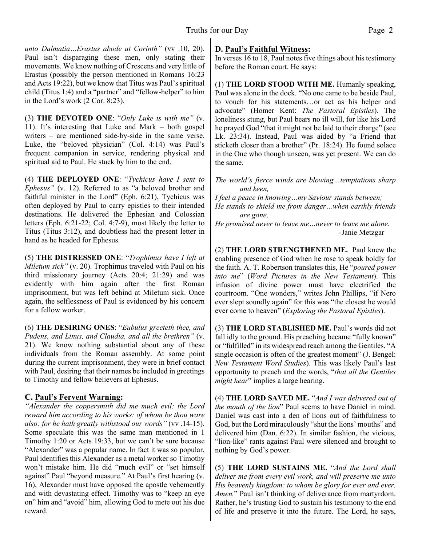*unto Dalmatia…Erastus abode at Corinth"* (vv .10, 20). Paul isn't disparaging these men, only stating their movements. We know nothing of Crescens and very little of Erastus (possibly the person mentioned in Romans 16:23 and Acts 19:22), but we know that Titus was Paul's spiritual child (Titus 1:4) and a "partner" and "fellow-helper" to him in the Lord's work (2 Cor. 8:23).

(3) **THE DEVOTED ONE**: "*Only Luke is with me"* (v. 11). It's interesting that Luke and Mark – both gospel writers – are mentioned side-by-side in the same verse. Luke, the "beloved physician" (Col. 4:14) was Paul's frequent companion in service, rendering physical and spiritual aid to Paul. He stuck by him to the end.

(4) **THE DEPLOYED ONE**: "*Tychicus have I sent to Ephesus"* (v. 12). Referred to as "a beloved brother and faithful minister in the Lord" (Eph. 6:21), Tychicus was often deployed by Paul to carry epistles to their intended destinations. He delivered the Ephesian and Colossian letters (Eph. 6:21-22; Col. 4:7-9), most likely the letter to Titus (Titus 3:12), and doubtless had the present letter in hand as he headed for Ephesus.

(5) **THE DISTRESSED ONE**: "*Trophimus have I left at Miletum sick"* (v. 20). Trophimus traveled with Paul on his third missionary journey (Acts 20:4; 21:29) and was evidently with him again after the first Roman imprisonment, but was left behind at Miletum sick. Once again, the selflessness of Paul is evidenced by his concern for a fellow worker.

(6) **THE DESIRING ONES**: "*Eubulus greeteth thee, and Pudens, and Linus, and Claudia, and all the brethren"* (v. 21). We know nothing substantial about any of these individuals from the Roman assembly. At some point during the current imprisonment, they were in brief contact with Paul, desiring that their names be included in greetings to Timothy and fellow believers at Ephesus.

#### **C. Paul's Fervent Warning:**

*"Alexander the coppersmith did me much evil: the Lord reward him according to his works: of whom be thou ware also; for he hath greatly withstood our words"* (vv .14-15). Some speculate this was the same man mentioned in 1 Timothy 1:20 or Acts 19:33, but we can't be sure because "Alexander" was a popular name. In fact it was so popular, Paul identifies this Alexander as a metal worker so Timothy won't mistake him. He did "much evil" or "set himself against" Paul "beyond measure." At Paul's first hearing (v. 16), Alexander must have opposed the apostle vehemently and with devastating effect. Timothy was to "keep an eye on" him and "avoid" him, allowing God to mete out his due reward.

### **D. Paul's Faithful Witness:**

In verses 16 to 18, Paul notes five things about his testimony before the Roman court. He says:

(1) **THE LORD STOOD WITH ME.** Humanly speaking, Paul was alone in the dock. "No one came to be beside Paul, to vouch for his statements…or act as his helper and advocate" (Homer Kent: *The Pastoral Epistles*). The loneliness stung, but Paul bears no ill will, for like his Lord he prayed God "that it might not be laid to their charge" (see Lk. 23:34). Instead, Paul was aided by "a Friend that sticketh closer than a brother" (Pr. 18:24). He found solace in the One who though unseen, was yet present. We can do the same.

*The world's fierce winds are blowing…temptations sharp and keen,*

*I feel a peace in knowing…my Saviour stands between; He stands to shield me from danger…when earthly friends are gone,*

*He promised never to leave me…never to leave me alone.* -Janie Metzgar

(2) **THE LORD STRENGTHENED ME.** Paul knew the enabling presence of God when he rose to speak boldly for the faith. A. T. Robertson translates this, He "*poured power into me*" (*Word Pictures in the New Testament*). This infusion of divine power must have electrified the courtroom. "One wonders," writes John Phillips, "if Nero ever slept soundly again" for this was "the closest he would ever come to heaven" (*Exploring the Pastoral Epistles*).

(3) **THE LORD STABLISHED ME.** Paul's words did not fall idly to the ground. His preaching became "fully known" or "fulfilled" in its widespread reach among the Gentiles. "A single occasion is often of the greatest moment" (J. Bengel: *New Testament Word Studies*). This was likely Paul's last opportunity to preach and the words, "*that all the Gentiles might hear*" implies a large hearing.

(4) **THE LORD SAVED ME.** "*And I was delivered out of the mouth of the lion*" Paul seems to have Daniel in mind. Daniel was cast into a den of lions out of faithfulness to God, but the Lord miraculously "shut the lions' mouths" and delivered him (Dan. 6:22). In similar fashion, the vicious, "lion-like" rants against Paul were silenced and brought to nothing by God's power.

(5) **THE LORD SUSTAINS ME.** "*And the Lord shall deliver me from every evil work, and will preserve me unto His heavenly kingdom: to whom be glory for ever and ever. Amen.*" Paul isn't thinking of deliverance from martyrdom. Rather, he's trusting God to sustain his testimony to the end of life and preserve it into the future. The Lord, he says,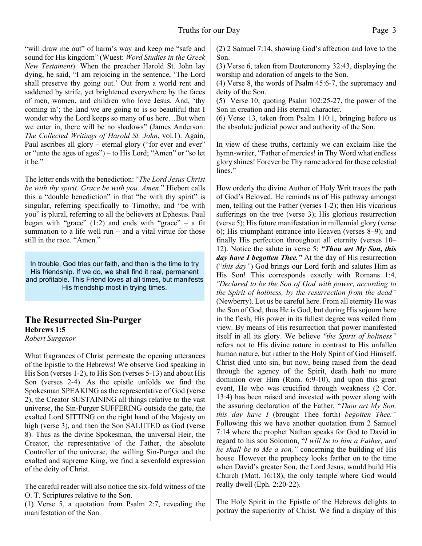"will draw me out" of harm's way and keep me "safe and sound for His kingdom" (Wuest: *Word Studies in the Greek New Testament*). When the preacher Harold St. John lay dying, he said, "I am rejoicing in the sentence, 'The Lord shall preserve thy going out.' Out from a world rent and saddened by strife, yet brightened everywhere by the faces of men, women, and children who love Jesus. And, 'thy coming in'; the land we are going to is so beautiful that I wonder why the Lord keeps so many of us here…But when we enter in, there will be no shadows" (James Anderson: *The Collected Writings of Harold St. John*, vol.1). Again, Paul ascribes all glory – eternal glory ("for ever and ever" or "unto the ages of ages") – to His Lord; "Amen" or "so let it be."

The letter ends with the benediction: "*The Lord Jesus Christ be with thy spirit. Grace be with you. Amen*." Hiebert calls this a "double benediction" in that "be with thy spirit" is singular, referring specifically to Timothy, and "be with you" is plural, referring to all the believers at Ephesus. Paul began with "grace"  $(1:2)$  and ends with "grace" – a fit summation to a life well run – and a vital virtue for those still in the race. "Amen."

In trouble, God tries our faith, and then is the time to try His friendship. If we do, we shall find it real, permanent and profitable. This Friend loves at all times, but manifests His friendship most in trying times.

#### **The Resurrected Sin-Purger Hebrews 1:5**

*Robert Surgenor*

What fragrances of Christ permeate the opening utterances of the Epistle to the Hebrews! We observe God speaking in His Son (verses 1-2), to His Son (verses 5-13) and about His Son (verses 2-4). As the epistle unfolds we find the Spokesman SPEAKING as the representative of God (verse 2), the Creator SUSTAINING all things relative to the vast universe, the Sin-Purger SUFFERING outside the gate, the exalted Lord SITTING on the right hand of the Majesty on high (verse 3), and then the Son SALUTED as God (verse 8). Thus as the divine Spokesman, the universal Heir, the Creator, the representative of the Father, the absolute Controller of the universe, the willing Sin-Purger and the exalted and supreme King, we find a sevenfold expression of the deity of Christ.

The careful reader will also notice the six-fold witness of the O. T. Scriptures relative to the Son.

(1) Verse 5, a quotation from Psalm 2:7, revealing the manifestation of the Son.

(2) 2 Samuel 7:14, showing God's affection and love to the Son.

(3) Verse 6, taken from Deuteronomy 32:43, displaying the worship and adoration of angels to the Son.

(4) Verse 8, the words of Psalm 45:6-7, the supremacy and deity of the Son.

(5) Verse 10, quoting Psalm 102:25-27, the power of the Son in creation and His eternal character.

(6) Verse 13, taken from Psalm 110:1, bringing before us the absolute judicial power and authority of the Son.

In view of these truths, certainly we can exclaim like the hymn-writer, "Father of mercies! in Thy Word what endless glory shines! Forever be Thy name adored for these celestial lines."

How orderly the divine Author of Holy Writ traces the path of God's Beloved. He reminds us of His pathway amongst men, telling out the Father (verses 1-2); then His vicarious sufferings on the tree (verse 3); His glorious resurrection (verse 5); His future manifestation in millennial glory (verse 6); His triumphant entrance into Heaven (verses 8–9); and finally His perfection throughout all eternity (verses 10– 12). Notice the salute in verse 5: *"Thou art My Son, this day have I begotten Thee."* At the day of His resurrection ("*this day"*) God brings our Lord forth and salutes Him as His Son! This corresponds exactly with Romans 1:4, *"Declared to be the Son of God with power, according to the Spirit of holiness, by the resurrection from the dead"* (Newberry). Let us be careful here. From all eternity He was the Son of God, thus He is God, but during His sojourn here in the flesh, His power in its fullest degree was veiled from view. By means of His resurrection that power manifested itself in all its glory. We believe *"the Spirit of holiness"* refers not to His divine nature in contrast to His unfallen human nature, but rather to the Holy Spirit of God Himself. Christ died unto sin, but now, being raised from the dead through the agency of the Spirit, death hath no more dominion over Him (Rom. 6:9-10), and upon this great event, He who was crucified through weakness (2 Cor. 13:4) has been raised and invested with power along with the assuring declaration of the Father, "*Thou art My Son, this day have I* (brought Thee forth) *begotten Thee."* Following this we have another quotation from 2 Samuel 7:14 where the prophet Nathan speaks for God to David in regard to his son Solomon, "*I will be to him a Father, and he shall be to Me a son,"* concerning the building of His house. However the prophecy looks farther on to the time when David's greater Son, the Lord Jesus, would build His Church (Matt. 16:18), the only temple where God would really dwell (Eph. 2:20-22).

The Holy Spirit in the Epistle of the Hebrews delights to portray the superiority of Christ. We find a display of this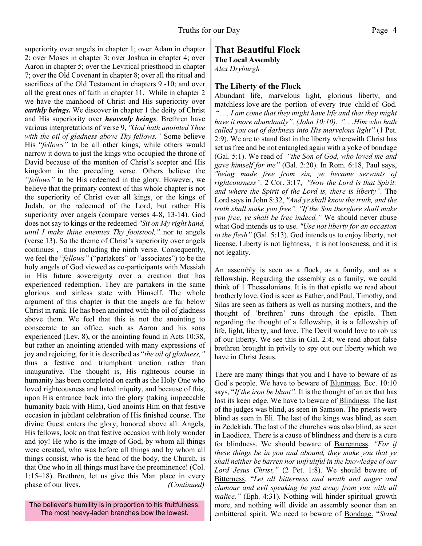superiority over angels in chapter 1; over Adam in chapter 2; over Moses in chapter 3; over Joshua in chapter 4; over Aaron in chapter 5; over the Levitical priesthood in chapter 7; over the Old Covenant in chapter 8; over all the ritual and sacrifices of the Old Testament in chapters 9 -10; and over all the great ones of faith in chapter 11. While in chapter 2 we have the manhood of Christ and His superiority over *earthly beings.* We discover in chapter 1 the deity of Christ and His superiority over *heavenly beings*. Brethren have various interpretations of verse 9, *"God hath anointed Thee with the oil of gladness above Thy fellows."* Some believe His "*fellows"* to be all other kings, while others would narrow it down to just the kings who occupied the throne of David because of the mention of Christ's scepter and His kingdom in the preceding verse. Others believe the *"fellows"* to be His redeemed in the glory. However, we believe that the primary context of this whole chapter is not the superiority of Christ over all kings, or the kings of Judah, or the redeemed of the Lord, but rather His superiority over angels (compare verses 4-8, 13-14). God does not say to kings or the redeemed *"Sit on My right hand, until I make thine enemies Thy footstool,"* nor to angels (verse 13). So the theme of Christ's superiority over angels continues , thus including the ninth verse. Consequently, we feel the "*fellows"* ("partakers" or "associates") to be the holy angels of God viewed as co-participants with Messiah in His future sovereignty over a creation that has experienced redemption. They are partakers in the same glorious and sinless state with Himself. The whole argument of this chapter is that the angels are far below Christ in rank. He has been anointed with the oil of gladness above them. We feel that this is not the anointing to consecrate to an office, such as Aaron and his sons experienced (Lev. 8), or the anointing found in Acts 10:38, but rather an anointing attended with many expressions of joy and rejoicing, for it is described as "*the oil of gladness,"* thus a festive and triumphant unction rather than inaugurative. The thought is, His righteous course in humanity has been completed on earth as the Holy One who loved righteousness and hated iniquity, and because of this, upon His entrance back into the glory (taking impeccable humanity back with Him), God anoints Him on that festive occasion in jubilant celebration of His finished course. The divine Guest enters the glory, honored above all. Angels, His fellows, look on that festive occasion with holy wonder and joy! He who is the image of God, by whom all things were created, who was before all things and by whom all things consist, who is the head of the body, the Church, is that One who in all things must have the preeminence! (Col. 1:15–18). Brethren, let us give this Man place in every phase of our lives. *(Continued)* 

The believer's humility is in proportion to his fruitfulness. The most heavy-laden branches bow the lowest.

#### **That Beautiful Flock The Local Assembly**

*Alex Dryburgh*

### **The Liberty of the Flock**

Abundant life, marvelous light, glorious liberty, and matchless love are the portion of every true child of God. "*. . . I am come that they might have life and that they might have it more abundantly", (John 10:10). ". . .Him who hath called you out of darkness into His marvelous light"* (1 Pet. 2:9). We are to stand fast in the liberty wherewith Christ has set us free and be not entangled again with a yoke of bondage (Gal. 5:1). We read of *"the Son of God, who loved me and gave himself for me"* (Gal. 2:20). In Rom. 6:18, Paul says, *"being made free from sin, ye became servants of righteousness".* 2 Cor. 3:17, *"Now the Lord is that Spirit: and where the Spirit of the Lord is, there is liberty".* The Lord says in John 8:32, *"And ye shall know the truth, and the truth shall make you free". "If the Son therefore shall make you free, ye shall be free indeed."* We should never abuse what God intends us to use. *"Use not liberty for an occasion to the flesh"* (Gal. 5:13). God intends us to enjoy liberty, not license. Liberty is not lightness, it is not looseness, and it is not legality.

An assembly is seen as a flock, as a family, and as a fellowship. Regarding the assembly as a family, we could think of 1 Thessalonians. It is in that epistle we read about brotherly love. God is seen as Father, and Paul, Timothy, and Silas are seen as fathers as well as nursing mothers, and the thought of 'brethren' runs through the epistle. Then regarding the thought of a fellowship, it is a fellowship of life, light, liberty, and love. The Devil would love to rob us of our liberty. We see this in Gal. 2:4; we read about false brethren brought in privily to spy out our liberty which we have in Christ Jesus.

There are many things that you and I have to beware of as God's people. We have to beware of **Bluntness**. Ecc. 10:10 says, "*If the iron be blunt"*. It is the thought of an ax that has lost its keen edge. We have to beware of Blindness. The last of the judges was blind, as seen in Samson. The priests were blind as seen in Eli. The last of the kings was blind, as seen in Zedekiah. The last of the churches was also blind, as seen in Laodicea. There is a cause of blindness and there is a cure for blindness. We should beware of Barrenness. *"For if these things be in you and abound, they make you that ye shall neither be barren nor unfruitful in the knowledge of our Lord Jesus Christ,"* (2 Pet. 1:8). We should beware of Bitterness. "*Let all bitterness and wrath and anger and clamour and evil speaking be put away from you with all malice,"* (Eph. 4:31). Nothing will hinder spiritual growth more, and nothing will divide an assembly sooner than an embittered spirit. We need to beware of Bondage. "*Stand*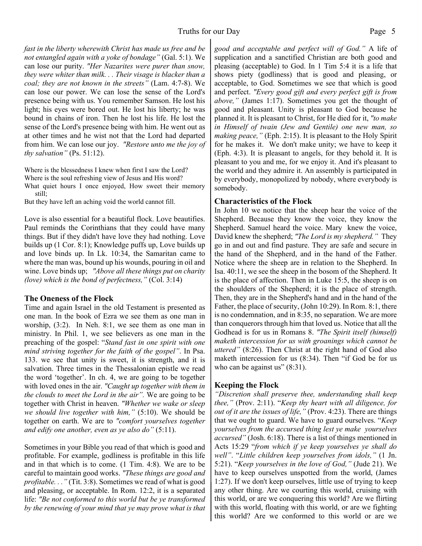*fast in the liberty wherewith Christ has made us free and be not entangled again with a yoke of bondage"* (Gal. 5:1). We can lose our purity. *"Her Nazarites were purer than snow, they were whiter than milk. . . Their visage is blacker than a coal; they are not known in the streets"* (Lam. 4:7-8). We can lose our power. We can lose the sense of the Lord's presence being with us. You remember Samson. He lost his light; his eyes were bored out. He lost his liberty; he was bound in chains of iron. Then he lost his life. He lost the sense of the Lord's presence being with him. He went out as at other times and he wist not that the Lord had departed from him. We can lose our joy. *"Restore unto me the joy of thy salvation"* (Ps. 51:12).

Where is the blessedness I knew when first I saw the Lord?

Where is the soul refreshing view of Jesus and His word? What quiet hours I once enjoyed, How sweet their memory still;

But they have left an aching void the world cannot fill.

Love is also essential for a beautiful flock. Love beautifies. Paul reminds the Corinthians that they could have many things. But if they didn't have love they had nothing. Love builds up (1 Cor. 8:1); Knowledge puffs up, Love builds up and love binds up. In Lk. 10:34, the Samaritan came to where the man was, bound up his wounds, pouring in oil and wine. Love binds up; *"Above all these things put on charity (love) which is the bond of perfectness,"* (Col. 3:14)

#### **The Oneness of the Flock**

Time and again Israel in the old Testament is presented as one man. In the book of Ezra we see them as one man in worship, (3:2). In Neh. 8:1, we see them as one man in ministry. In Phil. 1, we see believers as one man in the preaching of the gospel: "*Stand fast in one spirit with one mind striving together for the faith of the gospel"*. In Psa. 133. we see that unity is sweet, it is strength, and it is salvation. Three times in the Thessalonian epistle we read the word 'together'. In ch. 4, we are going to be together with loved ones in the air. *"Caught up together with them in the clouds to meet the Lord in the air".* We are going to be together with Christ in heaven. *"Whether we wake or sleep we should live together with him,"* (5:10). We should be together on earth. We are to *"comfort yourselves together and edify one another, even as ye also do"* (5:11).

Sometimes in your Bible you read of that which is good and profitable. For example, godliness is profitable in this life and in that which is to come. (1 Tim. 4:8). We are to be careful to maintain good works. *"These things are good and profitable. . ."* (Tit. 3:8). Sometimes we read of what is good and pleasing, or acceptable. In Rom. 12:2, it is a separated life: *"Be not conformed to this world but be ye transformed by the renewing of your mind that ye may prove what is that*

*good and acceptable and perfect will of God."* A life of supplication and a sanctified Christian are both good and pleasing (acceptable) to God. In 1 Tim 5:4 it is a life that shows piety (godliness) that is good and pleasing, or acceptable, to God. Sometimes we see that which is good and perfect. *"Every good gift and every perfect gift is from above,"* (James 1:17). Sometimes you get the thought of good and pleasant. Unity is pleasant to God because he planned it. It is pleasant to Christ, for He died for it, *"to make in Himself of twain (Jew and Gentile) one new man, so making peace,"* (Eph. 2:15). It is pleasant to the Holy Spirit for he makes it. We don't make unity; we have to keep it (Eph. 4:3). It is pleasant to angels, for they behold it. It is pleasant to you and me, for we enjoy it. And it's pleasant to the world and they admire it. An assembly is participated in by everybody, monopolized by nobody, where everybody is somebody.

#### **Characteristics of the Flock**

In John 10 we notice that the sheep hear the voice of the Shepherd. Because they know the voice, they know the Shepherd. Samuel heard the voice. Mary knew the voice, David knew the shepherd; *"The Lord is my shepherd."* They go in and out and find pasture. They are safe and secure in the hand of the Shepherd, and in the hand of the Father. Notice where the sheep are in relation to the Shepherd. In Isa. 40:11, we see the sheep in the bosom of the Shepherd. It is the place of affection. Then in Luke 15:5, the sheep is on the shoulders of the Shepherd; it is the place of strength. Then, they are in the Shepherd's hand and in the hand of the Father, the place of security, (John 10:29). In Rom. 8:1, there is no condemnation, and in 8:35, no separation. We are more than conquerors through him that loved us. Notice that all the Godhead is for us in Romans 8. *"The Spirit itself (himself) maketh intercession for us with groanings which cannot be uttered"* (8:26). Then Christ at the right hand of God also maketh intercession for us (8:34). Then "if God be for us who can be against us"  $(8:31)$ .

#### **Keeping the Flock**

*"Discretion shall preserve thee, understanding shall keep thee,"* (Prov. 2:11). "*Keep thy heart with all diligence, for out of it are the issues of life,"* (Prov. 4:23). There are things that we ought to guard. We have to guard ourselves. "*Keep yourselves from the accursed thing lest ye make yourselves accursed"* (Josh. 6:18). There is a list of things mentioned in Acts 15:29 "*from which if ye keep yourselves ye shall do well"*. "*Little children keep yourselves from idols,"* (1 Jn. 5:21). "*Keep yourselves in the love of God,"* (Jude 21). We have to keep ourselves unspotted from the world, (James 1:27). If we don't keep ourselves, little use of trying to keep any other thing. Are we courting this world, cruising with this world, or are we conquering this world? Are we flirting with this world, floating with this world, or are we fighting this world? Are we conformed to this world or are we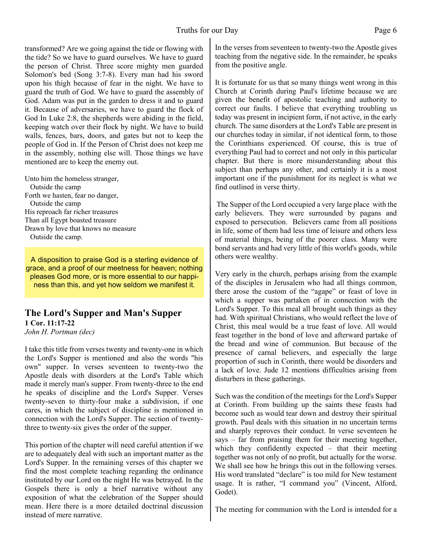#### Truths for our Day Page 6

transformed? Are we going against the tide or flowing with the tide? So we have to guard ourselves. We have to guard the person of Christ. Three score mighty men guarded Solomon's bed (Song 3:7-8). Every man had his sword upon his thigh because of fear in the night. We have to guard the truth of God. We have to guard the assembly of God. Adam was put in the garden to dress it and to guard it. Because of adversaries, we have to guard the flock of God In Luke 2:8, the shepherds were abiding in the field, keeping watch over their flock by night. We have to build walls, fences, bars, doors, and gates but not to keep the people of God in. If the Person of Christ does not keep me in the assembly, nothing else will. Those things we have mentioned are to keep the enemy out.

Unto him the homeless stranger, Outside the camp Forth we hasten, fear no danger, Outside the camp His reproach far richer treasures Than all Egypt boasted treasure Drawn by love that knows no measure Outside the camp.

A disposition to praise God is a sterling evidence of grace, and a proof of our meetness for heaven; nothing pleases God more, or is more essential to our happiness than this, and yet how seldom we manifest it.

#### **The Lord's Supper and Man's Supper 1 Cor. 11:17-22** *John H. Portman (dec)*

I take this title from verses twenty and twenty-one in which the Lord's Supper is mentioned and also the words "his own" supper. In verses seventeen to twenty-two the Apostle deals with disorders at the Lord's Table which made it merely man's supper. From twenty-three to the end he speaks of discipline and the Lord's Supper. Verses twenty-seven to thirty-four make a subdivision, if one cares, in which the subject of discipline is mentioned in connection with the Lord's Supper. The section of twentythree to twenty-six gives the order of the supper.

This portion of the chapter will need careful attention if we are to adequately deal with such an important matter as the Lord's Supper. In the remaining verses of this chapter we find the most complete teaching regarding the ordinance instituted by our Lord on the night He was betrayed. In the Gospels there is only a brief narrative without any exposition of what the celebration of the Supper should mean. Here there is a more detailed doctrinal discussion instead of mere narrative.

In the verses from seventeen to twenty-two the Apostle gives teaching from the negative side. In the remainder, he speaks from the positive angle.

It is fortunate for us that so many things went wrong in this Church at Corinth during Paul's lifetime because we are given the benefit of apostolic teaching and authority to correct our faults. I believe that everything troubling us today was present in incipient form, if not active, in the early church. The same disorders at the Lord's Table are present in our churches today in similar, if not identical form, to those the Corinthians experienced. Of course, this is true of everything Paul had to correct and not only in this particular chapter. But there is more misunderstanding about this subject than perhaps any other, and certainly it is a most important one if the punishment for its neglect is what we find outlined in verse thirty.

 The Supper of the Lord occupied a very large place with the early believers. They were surrounded by pagans and exposed to persecution. Believers came from all positions in life, some of them had less time of leisure and others less of material things, being of the poorer class. Many were bond servants and had very little of this world's goods, while others were wealthy.

Very early in the church, perhaps arising from the example of the disciples in Jerusalem who had all things common, there arose the custom of the "agape" or feast of love in which a supper was partaken of in connection with the Lord's Supper. To this meal all brought such things as they had. With spiritual Christians, who would reflect the love of Christ, this meal would be a true feast of love. All would feast together in the bond of love and afterward partake of the bread and wine of communion. But because of the presence of carnal believers, and especially the large proportion of such in Corinth, there would be disorders and a lack of love. Jude 12 mentions difficulties arising from disturbers in these gatherings.

Such was the condition of the meetings for the Lord's Supper at Corinth. From building up the saints these feasts had become such as would tear down and destroy their spiritual growth. Paul deals with this situation in no uncertain terms and sharply reproves their conduct. In verse seventeen he says – far from praising them for their meeting together, which they confidently expected – that their meeting together was not only of no profit, but actually for the worse. We shall see how he brings this out in the following verses. His word translated "declare" is too mild for New testament usage. It is rather, "I command you" (Vincent, Alford, Godet).

The meeting for communion with the Lord is intended for a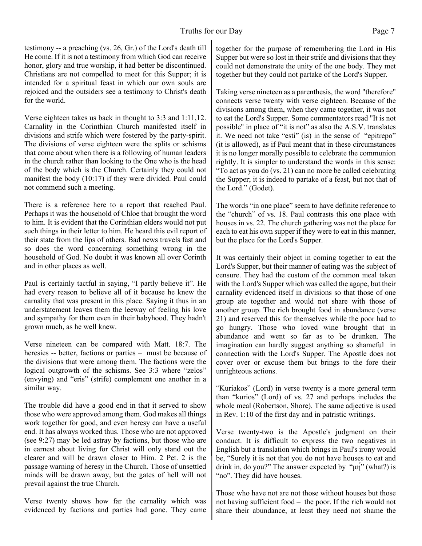testimony -- a preaching (vs. 26, Gr.) of the Lord's death till He come. If it is not a testimony from which God can receive honor, glory and true worship, it had better be discontinued. Christians are not compelled to meet for this Supper; it is intended for a spiritual feast in which our own souls are rejoiced and the outsiders see a testimony to Christ's death for the world.

Verse eighteen takes us back in thought to 3:3 and 1:11,12. Carnality in the Corinthian Church manifested itself in divisions and strife which were fostered by the party-spirit. The divisions of verse eighteen were the splits or schisms that come about when there is a following of human leaders in the church rather than looking to the One who is the head of the body which is the Church. Certainly they could not manifest the body (10:17) if they were divided. Paul could not commend such a meeting.

There is a reference here to a report that reached Paul. Perhaps it was the household of Chloe that brought the word to him. It is evident that the Corinthian elders would not put such things in their letter to him. He heard this evil report of their state from the lips of others. Bad news travels fast and so does the word concerning something wrong in the household of God. No doubt it was known all over Corinth and in other places as well.

Paul is certainly tactful in saying, "I partly believe it". He had every reason to believe all of it because he knew the carnality that was present in this place. Saying it thus in an understatement leaves them the leeway of feeling his love and sympathy for them even in their babyhood. They hadn't grown much, as he well knew.

Verse nineteen can be compared with Matt. 18:7. The heresies -- better, factions or parties – must be because of the divisions that were among them. The factions were the logical outgrowth of the schisms. See 3:3 where "zelos" (envying) and "eris" (strife) complement one another in a similar way.

The trouble did have a good end in that it served to show those who were approved among them. God makes all things work together for good, and even heresy can have a useful end. It has always worked thus. Those who are not approved (see 9:27) may be led astray by factions, but those who are in earnest about living for Christ will only stand out the clearer and will be drawn closer to Him. 2 Pet. 2 is the passage warning of heresy in the Church. Those of unsettled minds will be drawn away, but the gates of hell will not prevail against the true Church.

Verse twenty shows how far the carnality which was evidenced by factions and parties had gone. They came together for the purpose of remembering the Lord in His Supper but were so lost in their strife and divisions that they could not demonstrate the unity of the one body. They met together but they could not partake of the Lord's Supper.

Taking verse nineteen as a parenthesis, the word "therefore" connects verse twenty with verse eighteen. Because of the divisions among them, when they came together, it was not to eat the Lord's Supper. Some commentators read "It is not possible" in place of "it is not" as also the A.S.V. translates it. We need not take "esti" (is) in the sense of "epitrepo" (it is allowed), as if Paul meant that in these circumstances it is no longer morally possible to celebrate the communion rightly. It is simpler to understand the words in this sense: "To act as you do (vs. 21) can no more be called celebrating the Supper; it is indeed to partake of a feast, but not that of the Lord." (Godet).

The words "in one place" seem to have definite reference to the "church" of vs. 18. Paul contrasts this one place with houses in vs. 22. The church gathering was not the place for each to eat his own supper if they were to eat in this manner, but the place for the Lord's Supper.

It was certainly their object in coming together to eat the Lord's Supper, but their manner of eating was the subject of censure. They had the custom of the common meal taken with the Lord's Supper which was called the agape, but their carnality evidenced itself in divisions so that those of one group ate together and would not share with those of another group. The rich brought food in abundance (verse 21) and reserved this for themselves while the poor had to go hungry. Those who loved wine brought that in abundance and went so far as to be drunken. The imagination can hardly suggest anything so shameful in connection with the Lord's Supper. The Apostle does not cover over or excuse them but brings to the fore their unrighteous actions.

"Kuriakos" (Lord) in verse twenty is a more general term than "kurios" (Lord) of vs. 27 and perhaps includes the whole meal (Robertson, Shore). The same adjective is used in Rev. 1:10 of the first day and in patristic writings.

Verse twenty-two is the Apostle's judgment on their conduct. It is difficult to express the two negatives in English but a translation which brings in Paul's irony would be, "Surely it is not that you do not have houses to eat and drink in, do you?" The answer expected by "μή" (what?) is "no". They did have houses.

Those who have not are not those without houses but those not having sufficient food – the poor. If the rich would not share their abundance, at least they need not shame the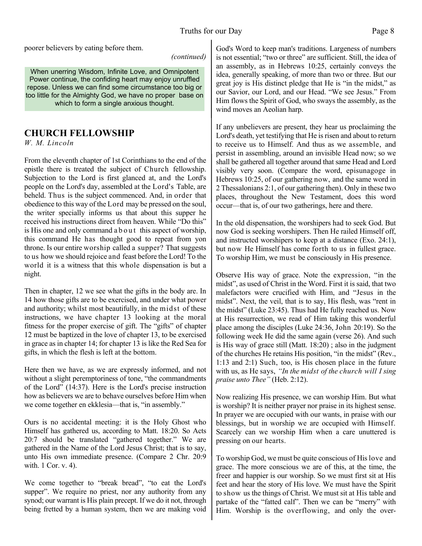poorer believers by eating before them.

#### *(continued)*

When unerring Wisdom, Infinite Love, and Omnipotent Power continue, the confiding heart may enjoy unruffled repose. Unless we can find some circumstance too big or too little for the Almighty God, we have no proper base on which to form a single anxious thought.

# **CHURCH FELLOWSHIP**

*W. M. Lincoln*

From the eleventh chapter of 1st Corinthians to the end of the epistle there is treated the subject of Church fellowship. Subjection to the Lord is first glanced at, and the Lord's people on the Lord's day, assembled at the Lord's Table, are beheld. Thus is the subject commenced. And, in order that obedience to this way of the Lord may be pressed on the soul, the writer specially informs us that about this supper he received his instructions direct from heaven. While "Do this" is His one and only command a b o u t this aspect of worship, this command He has thought good to repeat from yon throne. Is our entire worship called a supper? That suggests to us how we should rejoice and feast before the Lord! To the world it is a witness that this whole dispensation is but a night.

Then in chapter, 12 we see what the gifts in the body are. In 14 how those gifts are to be exercised, and under what power and authority; whilst most beautifully, in the midst of these instructions, we have chapter 13 looking at the moral fitness for the proper exercise of gift. The "gifts" of chapter 12 must be baptized in the love of chapter 13, to be exercised in grace as in chapter 14; for chapter 13 is like the Red Sea for gifts, in which the flesh is left at the bottom.

Here then we have, as we are expressly informed, and not without a slight peremptoriness of tone, "the commandments of the Lord" (14:37). Here is the Lord's precise instruction how as believers we are to behave ourselves before Him when we come together en ekklesia—that is, "in assembly."

Ours is no accidental meeting: it is the Holy Ghost who Himself has gathered us, according to Matt. 18:20. So Acts 20:7 should be translated "gathered together." We are gathered in the Name of the Lord Jesus Christ; that is to say, unto His own immediate presence. (Compare 2 Chr. 20:9 with. 1 Cor. v. 4).

We come together to "break bread", "to eat the Lord's supper". We require no priest, nor any authority from any synod; our warrant is His plain precept. If we do it not, through being fretted by a human system, then we are making void God's Word to keep man's traditions. Largeness of numbers is not essential; "two or three" are sufficient. Still, the idea of an assembly, as in Hebrews 10:25, certainly conveys the idea, generally speaking, of more than two or three. But our great joy is His distinct pledge that He is "in the midst," as our Savior, our Lord, and our Head. "We see Jesus." From Him flows the Spirit of God, who sways the assembly, as the wind moves an Aeolian harp.

If any unbelievers are present, they hear us proclaiming the Lord's death, yet testifying that He is risen and about to return to receive us to Himself. And thus as we assemble, and persist in assembling, around an invisible Head now; so we shall be gathered all together around that same Head and Lord visibly very soon. (Compare the word, episunagoge in Hebrews 10:25, of our gathering now, and the same word in 2 Thessalonians 2:1, of our gathering then). Only in these two places, throughout the New Testament, does this word occur—that is, of our two gatherings, here and there.

In the old dispensation, the worshipers had to seek God. But now God is seeking worshipers. Then He railed Himself off, and instructed worshipers to keep at a distance (Exo. 24:1), but now He Himself has come forth to us in fullest grace. To worship Him, we must be consciously in His presence.

Observe His way of grace. Note the expression, "in the midst", as used of Christ in the Word. First it is said, that two malefactors were crucified with Him, and "Jesus in the midst". Next, the veil, that is to say, His flesh, was "rent in the midst" (Luke 23:45). Thus had He fully reached us. Now at His resurrection, we read of Him taking this wonderful place among the disciples (Luke 24:36, John 20:19). So the following week He did the same again (verse 26). And such is His way of grace still (Matt. 18:20) ; also in the judgment of the churches He retains His position, "in the midst" (Rev., 1:13 and 2:1) Such, too, is His chosen place in the future with us, as He says, *"In the midst of the church will I sing praise unto Thee"* (Heb. 2:12).

Now realizing His presence, we can worship Him. But what is worship? It is neither prayer nor praise in its highest sense. In prayer we are occupied with our wants, in praise with our blessings, but in worship we are occupied with Himself. Scarcely can we worship Him when a care unuttered is pressing on our hearts.

To worship God, we must be quite conscious of His love and grace. The more conscious we are of this, at the time, the freer and happier is our worship. So we must first sit at His feet and hear the story of His love. We must have the Spirit to show us the things of Christ. We must sit at His table and partake of the "fatted calf". Then we can be "merry" with Him. Worship is the overflowing, and only the over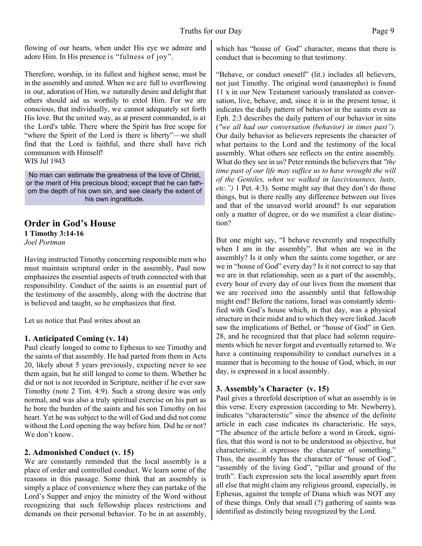flowing of our hearts, when under His eye we admire and adore Him. In His presence is "fulness of joy".

Therefore, worship, in its fullest and highest sense, must be in the assembly and united. When we are full to overflowing in our, adoration of Him, we naturally desire and delight that others should aid us worthily to extol Him. For we are conscious, that individually, we cannot adequately set forth His love. But the united way, as at present commanded, is at the Lord's table. There where the Spirit has free scope for "where the Spirit of the Lord is there is liberty"—we shall find that the Lord is faithful, and there shall have rich communion with Himself! WIS Jul 1943

No man can estimate the greatness of the love of Christ, or the merit of His precious blood; except that he can fathom the depth of his own sin, and see clearly the extent of his own ingratitude.

# **Order in God's House 1 Timothy 3:14-16**

*Joel Portman*

Having instructed Timothy concerning responsible men who must maintain scriptural order in the assembly, Paul now emphasizes the essential aspects of truth connected with that responsibility. Conduct of the saints is an essential part of the testimony of the assembly, along with the doctrine that is believed and taught, so he emphasizes that first.

Let us notice that Paul writes about an

#### **1. Anticipated Coming (v. 14)**

Paul clearly longed to come to Ephesus to see Timothy and the saints of that assembly. He had parted from them in Acts 20, likely about 5 years previously, expecting never to see them again, but he still longed to come to them. Whether he did or not is not recorded in Scripture, neither if he ever saw Timothy (note 2 Tim. 4:9). Such a strong desire was only normal, and was also a truly spiritual exercise on his part as he bore the burden of the saints and his son Timothy on his heart. Yet he was subject to the will of God and did not come without the Lord opening the way before him. Did he or not? We don't know.

#### **2. Admonished Conduct (v. 15)**

We are constantly reminded that the local assembly is a place of order and controlled conduct. We learn some of the reasons in this passage. Some think that an assembly is simply a place of convenience where they can partake of the Lord's Supper and enjoy the ministry of the Word without recognizing that such fellowship places restrictions and demands on their personal behavior. To be in an assembly, which has "house of God" character, means that there is conduct that is becoming to that testimony.

"Behave, or conduct oneself" (lit.) includes all believers, not just Timothy. The original word (anastrepho) is found 11 x in our New Testament variously translated as conversation, live, behave, and, since it is in the present tense, it indicates the daily pattern of behavior in the saints even as Eph. 2:3 describes the daily pattern of our behavior in sins (*"we all had our conversation (behavior) in times past").* Our daily behavior as believers represents the character of what pertains to the Lord and the testimony of the local assembly. What others see reflects on the entire assembly. What do they see in us? Peter reminds the believers that *"the time past of our life may suffice us to have wrought the will of the Gentiles, when we walked in lasciviousness, lusts, etc.")* 1 Pet. 4:3). Some might say that they don't do those things, but is there really any difference between our lives and that of the unsaved world around? Is our separation only a matter of degree, or do we manifest a clear distinction?

But one might say, "I behave reverently and respectfully when I am in the assembly". But when are we in the assembly? Is it only when the saints come together, or are we in "house of God" every day? Is it not correct to say that we are in that relationship, seen as a part of the assembly, every hour of every day of our lives from the moment that we are received into the assembly until that fellowship might end? Before the nations, Israel was constantly identified with God's house which, in that day, was a physical structure in their midst and to which they were linked. Jacob saw the implications of Bethel, or "house of God" in Gen. 28, and he recognized that that place had solemn requirements which he never forgot and eventually returned to. We have a continuing responsibility to conduct ourselves in a manner that is becoming to the house of God, which, in our day, is expressed in a local assembly.

## **3. Assembly's Character (v. 15)**

Paul gives a threefold description of what an assembly is in this verse. Every expression (according to Mr. Newberry), indicates "characteristic" since the absence of the definite article in each case indicates its characteristic. He says, "The absence of the article before a word in Greek, signifies, that this word is not to be understood as objective, but characteristic...it expresses the character of something." Thus, the assembly has the character of "house of God", "assembly of the living God", "pillar and ground of the truth". Each expression sets the local assembly apart from all else that might claim any religious ground, especially, in Ephesus, against the temple of Diana which was NOT any of these things. Only that small (?) gathering of saints was identified as distinctly being recognized by the Lord.